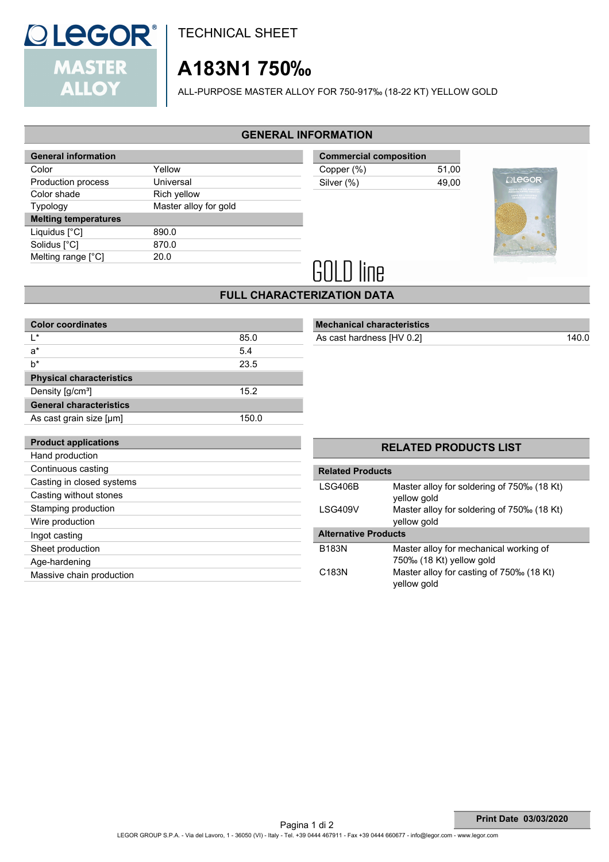

TECHNICAL SHEET

# **A183N1 750‰**

ALL-PURPOSE MASTER ALLOY FOR 750-917‰ (18-22 KT) YELLOW GOLD

## **GENERAL INFORMATION**

| <b>General information</b>  |                       |  |
|-----------------------------|-----------------------|--|
| Color                       | Yellow                |  |
| Production process          | Universal             |  |
| Color shade                 | Rich yellow           |  |
| <b>Typology</b>             | Master alloy for gold |  |
| <b>Melting temperatures</b> |                       |  |
|                             |                       |  |
| Liquidus $[^{\circ}C]$      | 890.0                 |  |
| Solidus [°C]                | 870.0                 |  |
| Melting range [°C]          | 20.0                  |  |

| <b>Commercial composition</b> |       |  |
|-------------------------------|-------|--|
| Copper (%)                    | 51.00 |  |
| Silver (%)                    | 49.00 |  |
|                               |       |  |



# **GOLD line**

 **Mechanical characteristics**

### **FULL CHARACTERIZATION DATA**

| <b>Color coordinates</b>        |       |
|---------------------------------|-------|
| l *                             | 85.0  |
| a*                              | 5.4   |
| b*                              | 23.5  |
| <b>Physical characteristics</b> |       |
| Density [g/cm <sup>3</sup> ]    | 15.2  |
| <b>General characteristics</b>  |       |
| As cast grain size [µm]         | 150.0 |
|                                 |       |
| <b>Product applications</b>     |       |
| Hand production                 |       |
| Continuous casting              |       |
| Casting in closed systems       |       |
| Casting without stones          |       |
| Stamping production             |       |
| Wire production                 |       |
| Ingot casting                   |       |
| Sheet production                |       |
| Age-hardening                   |       |
| Massive chain production        |       |

# **RELATED PRODUCTS LIST Related Products** LSG406B Master alloy for soldering of 750‰ (18 Kt) yellow gold LSG409V Master alloy for soldering of 750‰ (18 Kt) yellow gold  **Alternative Products** B183N Master alloy for mechanical working of 750‰ (18 Kt) yellow gold C183N Master alloy for casting of 750‰ (18 Kt)

yellow gold

As cast hardness [HV 0.2] 140.0

#### LEGOR GROUP S.P.A. - Via del Lavoro, 1 - 36050 (VI) - Italy - Tel. +39 0444 467911 - Fax +39 0444 660677 - info@legor.com - www.legor.com **Print Date 03/03/2020** Pagina 1 di 2